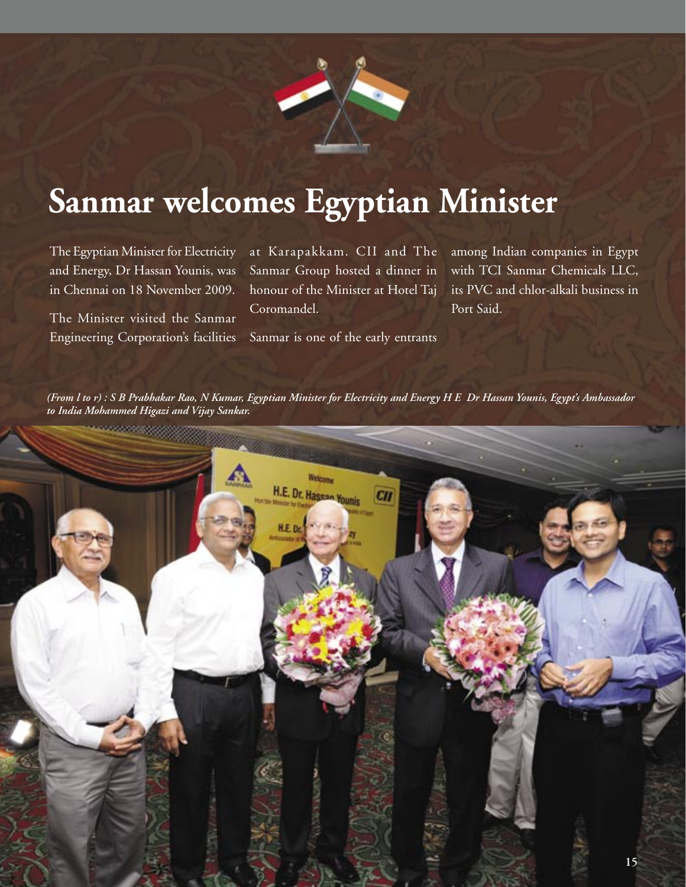

## **Sanmar welcomes Egyptian Minister**

The Egyptian Minister for Electricity and Energy, Dr Hassan Younis, was in Chennai on 18 November 2009.

The Minister visited the Sanmar Engineering Corporation's facilities at Karapakkam. CII and The Sanmar Group hosted a dinner in honour of the Minister at Hotel Taj Coromandel.

among Indian companies in Egypt with TCI Sanmar Chemicals LLC, its PVC and chlor-alkali business in Port Said.

Sanmar is one of the early entrants

*(From l to r) : S B Prabhakar Rao, N Kumar, Egyptian Minister for Electricity and Energy H E Dr Hassan Younis, Egypt's Ambassador to India Mohammed Higazi and Vijay Sankar.*

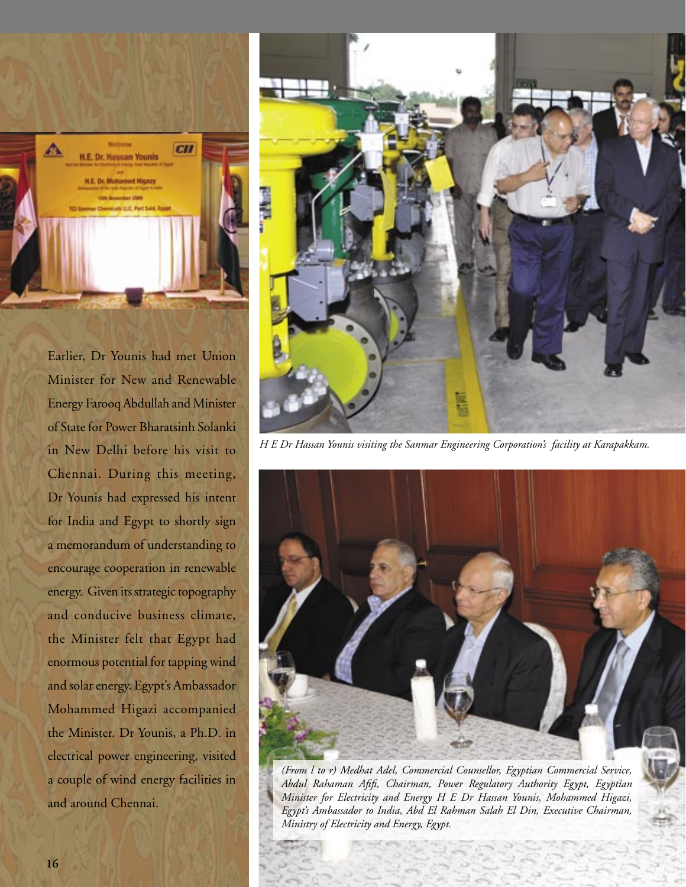

Earlier, Dr Younis had met Union Minister for New and Renewable Energy Farooq Abdullah and Minister of State for Power Bharatsinh Solanki in New Delhi before his visit to Chennai. During this meeting, Dr Younis had expressed his intent for India and Egypt to shortly sign a memorandum of understanding to encourage cooperation in renewable energy. Given its strategic topography and conducive business climate, the Minister felt that Egypt had enormous potential for tapping wind and solar energy. Egypt's Ambassador Mohammed Higazi accompanied the Minister. Dr Younis, a Ph.D. in electrical power engineering, visited a couple of wind energy facilities in and around Chennai.



*H E Dr Hassan Younis visiting the Sanmar Engineering Corporation's facility at Karapakkam.*



*(From l to r) Medhat Adel, Commercial Counsellor, Egyptian Commercial Service,*  Abdul Rahaman Afifi, Chairman, Power Regulatory Authority Egypt, Egyptian *Minister for Electricity and Energy H E Dr Hassan Younis, Mohammed Higazi, Egypt's Ambassador to India, Abd El Rahman Salah El Din, Executive Chairman, Ministry of Electricity and Energy, Egypt.*